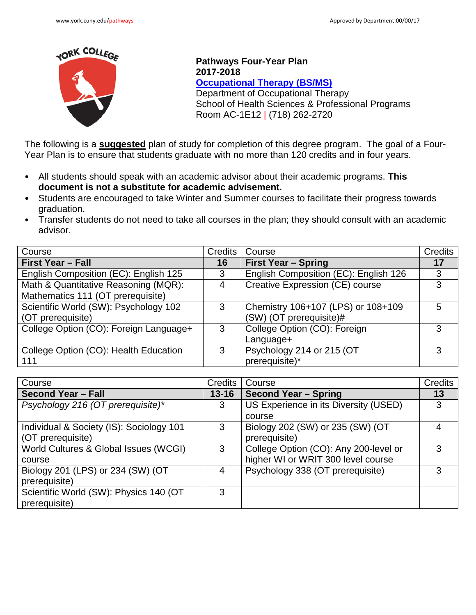

**Pathways Four-Year Plan 2017-2018 [Occupational Therapy \(BS/MS\)](http://www.york.cuny.edu/produce-and-print/contents/bulletin/school-of-health-and-behavioral-sciences/occupational-therapy/copy_of_occupational-therapy-ms)** Department of Occupational Therapy School of Health Sciences & Professional Programs Room AC-1E12 | (718) 262-2720

The following is a **suggested** plan of study for completion of this degree program. The goal of a Four-Year Plan is to ensure that students graduate with no more than 120 credits and in four years.

- All students should speak with an academic advisor about their academic programs. **This document is not a substitute for academic advisement.**
- Students are encouraged to take Winter and Summer courses to facilitate their progress towards graduation.
- Transfer students do not need to take all courses in the plan; they should consult with an academic advisor.

| Course                                 | <b>Credits</b> | Course                                | <b>Credits</b> |
|----------------------------------------|----------------|---------------------------------------|----------------|
| <b>First Year - Fall</b>               | 16             | <b>First Year - Spring</b>            | 17             |
| English Composition (EC): English 125  | 3              | English Composition (EC): English 126 | 3              |
| Math & Quantitative Reasoning (MQR):   | 4              | Creative Expression (CE) course       | 3              |
| Mathematics 111 (OT prerequisite)      |                |                                       |                |
| Scientific World (SW): Psychology 102  | 3              | Chemistry 106+107 (LPS) or 108+109    | 5              |
| (OT prerequisite)                      |                | (SW) (OT prerequisite)#               |                |
| College Option (CO): Foreign Language+ | 3              | College Option (CO): Foreign          | 3              |
|                                        |                | Language+                             |                |
| College Option (CO): Health Education  | 3              | Psychology 214 or 215 (OT             | 3              |
| 111                                    |                | prerequisite)*                        |                |

| Course                                   | <b>Credits</b> | Course                                | Credits |
|------------------------------------------|----------------|---------------------------------------|---------|
| <b>Second Year - Fall</b>                | $13 - 16$      | <b>Second Year - Spring</b>           | 13      |
| Psychology 216 (OT prerequisite)*        | 3              | US Experience in its Diversity (USED) | 3       |
|                                          |                | course                                |         |
| Individual & Society (IS): Sociology 101 | 3              | Biology 202 (SW) or 235 (SW) (OT      | 4       |
| (OT prerequisite)                        |                | prerequisite)                         |         |
| World Cultures & Global Issues (WCGI)    | 3              | College Option (CO): Any 200-level or | 3       |
| course                                   |                | higher WI or WRIT 300 level course    |         |
| Biology 201 (LPS) or 234 (SW) (OT        | 4              | Psychology 338 (OT prerequisite)      | 3       |
| prerequisite)                            |                |                                       |         |
| Scientific World (SW): Physics 140 (OT   | 3              |                                       |         |
| prerequisite)                            |                |                                       |         |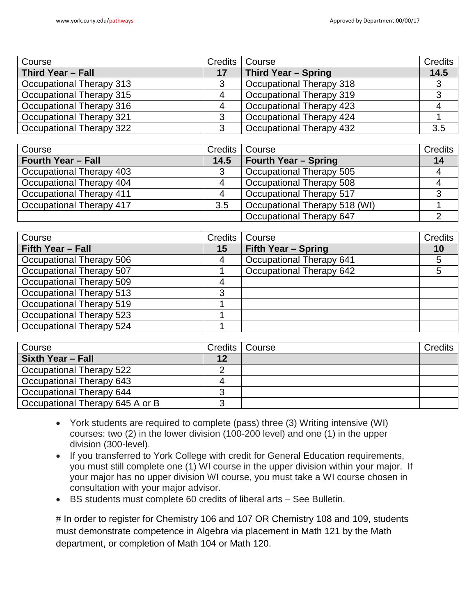| Course                   |    | Credits   Course                | Credits |
|--------------------------|----|---------------------------------|---------|
| Third Year - Fall        | 17 | Third Year - Spring             | 14.5    |
| Occupational Therapy 313 | 3  | Occupational Therapy 318        | ົ       |
| Occupational Therapy 315 | 4  | Occupational Therapy 319        |         |
| Occupational Therapy 316 | 4  | <b>Occupational Therapy 423</b> |         |
| Occupational Therapy 321 | 3  | Occupational Therapy 424        |         |
| Occupational Therapy 322 | 3  | Occupational Therapy 432        | 3.5     |

| Course                    | Credits | Course                        | Credits |
|---------------------------|---------|-------------------------------|---------|
| <b>Fourth Year - Fall</b> | 14.5    | <b>Fourth Year - Spring</b>   | 14      |
| Occupational Therapy 403  | 3       | Occupational Therapy 505      |         |
| Occupational Therapy 404  |         | Occupational Therapy 508      |         |
| Occupational Therapy 411  | 4       | Occupational Therapy 517      |         |
| Occupational Therapy 417  | 3.5     | Occupational Therapy 518 (WI) |         |
|                           |         | Occupational Therapy 647      |         |

| Course                   | Credits | Course                   | Credits |
|--------------------------|---------|--------------------------|---------|
| Fifth Year - Fall        | 15      | Fifth Year - Spring      | 10      |
| Occupational Therapy 506 | 4       | Occupational Therapy 641 |         |
| Occupational Therapy 507 |         | Occupational Therapy 642 |         |
| Occupational Therapy 509 | 4       |                          |         |
| Occupational Therapy 513 | 3       |                          |         |
| Occupational Therapy 519 |         |                          |         |
| Occupational Therapy 523 |         |                          |         |
| Occupational Therapy 524 |         |                          |         |

| Course                          |    | Credits   Course | Credits |
|---------------------------------|----|------------------|---------|
| <b>Sixth Year - Fall</b>        | 12 |                  |         |
| Occupational Therapy 522        |    |                  |         |
| Occupational Therapy 643        |    |                  |         |
| Occupational Therapy 644        | ◠  |                  |         |
| Occupational Therapy 645 A or B | ◠  |                  |         |

- York students are required to complete (pass) three (3) Writing intensive (WI) courses: two (2) in the lower division (100-200 level) and one (1) in the upper division (300-level).
- If you transferred to York College with credit for General Education requirements, you must still complete one (1) WI course in the upper division within your major. If your major has no upper division WI course, you must take a WI course chosen in consultation with your major advisor.
- BS students must complete 60 credits of liberal arts See Bulletin.

# In order to register for Chemistry 106 and 107 OR Chemistry 108 and 109, students must demonstrate competence in Algebra via placement in Math 121 by the Math department, or completion of Math 104 or Math 120.